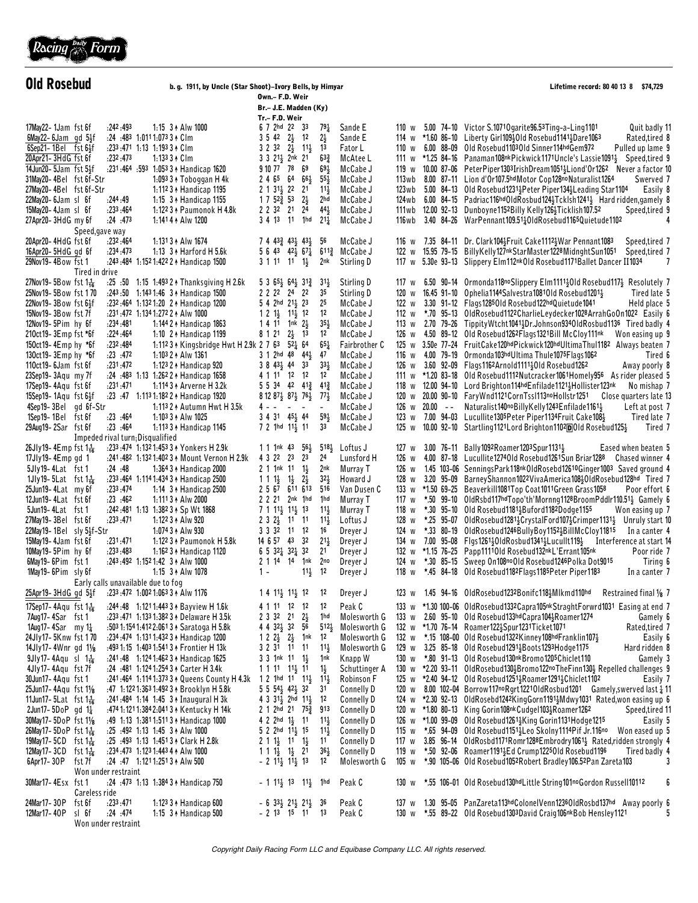

| <b>Old Rosebud</b>                                                                         |                                                                       | b. g. 1911, by Uncle (Star Shoot)-Ivory Bells, by Himyar                               |                                                                                                                       |                                    | Lifetime record: 80 40 13 8 \$74,729 |                |                           |                                                                                                                                                                                        |
|--------------------------------------------------------------------------------------------|-----------------------------------------------------------------------|----------------------------------------------------------------------------------------|-----------------------------------------------------------------------------------------------------------------------|------------------------------------|--------------------------------------|----------------|---------------------------|----------------------------------------------------------------------------------------------------------------------------------------------------------------------------------------|
|                                                                                            |                                                                       |                                                                                        | Own.- F.D. Weir<br>Br.– J.E. Madden (Ky)                                                                              |                                    |                                      |                |                           |                                                                                                                                                                                        |
|                                                                                            |                                                                       |                                                                                        | Tr.- F.D. Weir                                                                                                        |                                    |                                      |                |                           |                                                                                                                                                                                        |
| 17May22-1Jam fst6f                                                                         | :242:493                                                              | 1:15 3 + Alw 1000                                                                      | 6 7 2hd 22 33                                                                                                         | $79\frac{1}{4}$                    | Sande E                              |                |                           | 110 w 5.00 74-10 Victor S.10710 garite 96.53 Ting-a-Ling 1101<br>Quit badly 1                                                                                                          |
| $6$ May22-6Jam gd $5\frac{1}{2}$ f<br>$6$ Sep21-1Bel $fst 61/2f$                           | :24 :483 1:0111:073 3 4 Clm<br>$: 233 : 471$ 1:13 1:193 3 $\star$ Clm |                                                                                        | $3\ 5\ 42\ 2\frac{1}{2}$ 12<br>$3 \t2 \t3^2 \t2^1$ $11^1$                                                             | $2\frac{1}{2}$<br>13               | Sande E<br>Fator L                   |                |                           | 114 w *1.60 86-10 Liberty Girl109}01d Rosebud1141}Dare1063<br>Rated,tired 8<br>110 w 6.00 88-09 Old Rosebud110301d Sinner114hdGem972<br>Pulled up lame 9                               |
| 20Apr21-3HdG fst 6f                                                                        | : 232 : 473                                                           | $1:1333 + C$ Im                                                                        | 3 3 21 2nk 21                                                                                                         | $63\frac{3}{4}$                    | McAtee L                             |                |                           | 111 w *1.25 84-16 Panaman108nkPickwick1171Uncle's Lassie1091 <sub>2</sub><br>Speed,tired 9                                                                                             |
| 14Jun20-5Jam fst5}f                                                                        |                                                                       | :231:464 :593 1:053 3 + Handicap 1620                                                  | 9 10 77 78 69                                                                                                         | $69\frac{1}{2}$                    | McCabe J                             |                |                           | 119 w 10.00 87-06 PeterPiper1303IrishDream1051; Liond'Or1262 Never a factor 10                                                                                                         |
| 31May20-4Bel fst6f-Str                                                                     |                                                                       | 1:093 $3 \uparrow$ Toboggan H 4k                                                       | 24656465                                                                                                              | $55\frac{1}{2}$                    | McCabe J                             | 113wb          |                           | 8.00 87-11 Lion d'Or107.5hdMotor Cop128noNaturalist1264<br>Swerved 7                                                                                                                   |
| 27May20-4Bel fst6f-Str                                                                     |                                                                       | 1:112 3 + Handicap 1195                                                                | $2 \t1 \t31\frac{1}{2} \t22 \t21$                                                                                     | $11\frac{1}{2}$                    | McCabe J<br>McCabe J                 | 123 w b        |                           | 5.00 84-13 Old Rosebud1231 <sup>1</sup> 2Peter Piper134 <sup>1</sup> Leading Star1104<br>Easily 8                                                                                      |
| 22May20-6Jam sl 6f<br>15May20-4Jam sl 6f                                                   | :244 :49<br>: 233 : 464                                               | 1:15 $3 \uparrow$ Handicap 1155<br>1:122 3 + Paumonok H 4.8k                           | $1 7 5^{24} 5^{3} 2^{1}_{2}$<br>2 2 3 2 21<br>24                                                                      | 2hd<br>$44\frac{1}{2}$             | McCabe J                             |                |                           | 124wb 6.00 84-15 Padriac116hdOldRosbud124 $\frac{1}{2}$ Tcklsh1241 $\frac{1}{2}$ Hard ridden, gamely 8<br>111wb 12.00 92-13 Dunboyne1152Billy Kelly126}Ticklish107.52<br>Speed,tired 9 |
| 27Apr20-3HdG my 6f                                                                         | : 24 : 473                                                            | 1:141 4 A A Iw 1200                                                                    | 3 4 13 11 1hd                                                                                                         | $21\frac{1}{4}$                    | McCabe J                             | 116 w b        |                           | 3.40 84-26 WarPennant109.5110IdRosebud1165Quietude1102                                                                                                                                 |
| Speed, gave way                                                                            |                                                                       |                                                                                        |                                                                                                                       |                                    |                                      |                |                           |                                                                                                                                                                                        |
| 20Apr20-4HdG fst 6f                                                                        | :232:464                                                              | 1:131 3 + Alw 1674                                                                     | $7\,4\,43\frac{3}{4}\,43\frac{1}{2}\,43\frac{1}{2}$                                                                   | -56                                | McCabe J                             |                |                           | 116 w 7.35 84-11 Dr. Clark 104 3 Fruit Cake 1112 3 War Pennant 1083<br>Speed,tired 7                                                                                                   |
| 16Apr20-5HdG gd 6f<br>29Nov19-4Bow fst 1                                                   | : 234 : 473                                                           | 1:13 3 + Harford H 5.6k<br>:243:484 1:152 1:422 2 + Handicap 1500                      | $564342\frac{1}{2}67\frac{1}{4}$<br>$3 1 11 11 \frac{1}{2}$                                                           | $611\frac{3}{4}$<br>2nk            | McCabe J<br>Stirling D               |                |                           | 122 w 15.95 79-15 BillyKelly127nkStarMaster1228MidnghtSun1051<br>Speed,tired 7<br>117 w 5.30e 93-13 Slippery Elm112nk0ld Rosebud1171Ballet Dancer II1034<br>7                          |
| Tired in drive                                                                             |                                                                       |                                                                                        |                                                                                                                       |                                    |                                      |                |                           |                                                                                                                                                                                        |
| 27Nov19-5Bow fst $1\frac{1}{16}$                                                           |                                                                       | :25 :50 1:15 1:493 2 1 Thanksgiving H 2.6k                                             | $5 \t3 \t65\frac{1}{2} \t64\frac{1}{2} \t31\frac{3}{4}$                                                               | $31\frac{1}{2}$                    | Stirling D                           | 117 w          |                           | 6.50 90-14 Ormonda118noSlippery Elm111130ld Rosebud1173 Resolutely 7                                                                                                                   |
| 25Nov19-5Bow fst 170                                                                       |                                                                       | :243:50 1:1431:46 3 + Handicap 1500                                                    |                                                                                                                       | 35                                 | Stirling D                           |                |                           | 120 w 16.45 91-10 Ophelia1144 Salvestra 1081 Old Rosebud 1201 }<br>Tired late 5                                                                                                        |
| $22$ Nov19-3Bow fst $6\frac{1}{2}$ f                                                       |                                                                       | :232:464 1:1321:20 2 ↑ Handicap 1200                                                   | $5$ 4 2hd $21\frac{1}{2}$ 23                                                                                          | 25                                 | McCabe J                             | 122 w          |                           | 3.30 91-12 Flags12850ld Rosebud122hdQuietude1041<br>Held place 5                                                                                                                       |
| 15Nov19-3Bow fst 7f<br>12Nov19-5Pim hy 6f                                                  | :234:481                                                              | :231:472 1:134 1:272 2 + Alw 1000<br>1:144 2 + Handicap 1863                           | $12 \frac{11}{2} \frac{11}{2} \frac{12}{2}$<br>1 4 11 1 nk $2\frac{1}{2}$                                             | 12<br>$35\frac{1}{2}$              | McCabe J<br>McCabe J                 | 112 w<br>113 w |                           | *.70 95-13 OldRosebud1122CharlieLeydecker1028ArrahGoOn1022 Easily 6<br>2.70 79-26 Tippity Wtcht1041; Dr. Johnson 93401d Rosbud 1136 Tired badly 4                                      |
| 210ct19-3Emp fst *6f                                                                       | :224:464                                                              | 1:10 $2 \uparrow$ Handicap 1199                                                        | $2\frac{1}{2}$ 13<br>8121                                                                                             | 12                                 | McCabe J                             | 126 w          |                           | 4.50 89-12 Old Rosebud1262Flags1321Bill McCloy111nk<br>Won easing up 9                                                                                                                 |
| 150ct 19 - 4 Emp hy $*$ 6 f                                                                | :232:484                                                              | 1:112 3 + Kingsbridge Hwt H 2.9k 2 7 63                                                | $52\frac{1}{4}$ 64                                                                                                    | $65\frac{1}{4}$                    | Fairbrother C                        |                |                           | 125 w 3.50e 77-24 FruitCake120hdPickwick120hdUltimaThul1182 Always beaten 7                                                                                                            |
| 130ct19-3Emp hy *6f                                                                        | : 23 : 472                                                            | 1:103 2 + Alw 1361                                                                     | $3 \t1 \t2hd \t48 \t44\frac{1}{2}$                                                                                    | 47                                 | McCabe J                             | 116 w          |                           | 4.00 79-19 Ormonda103hdUltima Thule1075Flags1062<br>Tired 6                                                                                                                            |
| 110 $ct$ 19 - 6Jam fst 6f                                                                  | : 231 : 472                                                           | 1:123 2 + Handicap 920                                                                 | $3843\frac{1}{2}443$                                                                                                  | $33\frac{1}{2}$                    | McCabe J                             | 126 w          |                           | 3.60 92-09 Flags1162Arnold1111; Old Rosebud1262<br>Away poorly 8                                                                                                                       |
| 23Sep19-3Aqu my 7f                                                                         |                                                                       | :24 :483 1:13 1:262 2 + Handicap 1658                                                  |                                                                                                                       | 12                                 | McCabe J                             |                |                           | 111 w *1.20 83-18 Old Rosebud1112Nutcracker1061Homely956<br>As rider pleased 5                                                                                                         |
| 17Sep19-4Aqu fst 6f<br>15Sep19-1Aqu fst $6\frac{1}{2}$ f                                   | :231:471                                                              | 1:114 3 Arverne H 3.2k<br>:23 :47 1:113 1:182 A Handicap 1920                          | 5 5 34 42 41 <sup>3</sup> 41 <sup>3</sup><br>8 12 87 $\frac{1}{2}$ 87 $\frac{1}{2}$ 76 $\frac{1}{2}$ 77 $\frac{1}{2}$ |                                    | McCabe J<br>McCabe J                 |                |                           | 118 w 12.00 94-10 Lord Brighton114hdEnfilade1121}Hollister123nk<br>No mishap 7<br>120 w 20.00 90-10 Fary Wnd1121 Corn Tssl113no Hollstr1251<br>Close quarters late 1.                  |
| 4Sep19-3Bel gd 6f-Str                                                                      |                                                                       | 1:113 2 + Autumn Hwt H 3.5k                                                            | 4 - -<br>$\sim$ $ \sim$                                                                                               | $\overline{\phantom{a}}$           | McCabe J                             |                | $126 \text{ w}$ $20.00 -$ | Naturalist140noBillyKelly1243Enfilade1161}<br>Left at post 7                                                                                                                           |
| 1Sep19-1Bel fst6f                                                                          | :23:464                                                               | 1:103 $3 *$ Alw 1025                                                                   | 3 4 31 4 5 4 4                                                                                                        | $59\frac{1}{2}$                    | McCabe J                             | 123 w          |                           | 7.00 94-03 Lucullite1305Peter Piper1134Fruit Cake1084<br>Tired late 7                                                                                                                  |
| 29Aug19-2Sar fst6f                                                                         | : 23 : 464                                                            | 1:113 3 + Handicap 1145                                                                | 7 2 1hd 11 <sub>3</sub> 11                                                                                            | 33                                 | McCabe J                             | 125 w          |                           | 10.00 92-10 Startling1121 Lord Brighton1102 <sup>D</sup> DOId Rosebud125 <sup>1</sup><br>Tired 7                                                                                       |
|                                                                                            | Impeded rival turn; Disqualified                                      |                                                                                        |                                                                                                                       |                                    |                                      |                |                           |                                                                                                                                                                                        |
| 26Jly19-4Emp fst 1 $\frac{1}{16}$<br>17 Jly 19 - 4 Emp gd 1                                |                                                                       | :233 :474 1:132 1:453 3 + Yonkers H 2.9k<br>:241:482 1:132 1:402 3 Mount Vernon H 2.9k | 1 1 1 nk $43$ $56\frac{1}{2}$<br>4 3 22 23 23                                                                         | $5^{18}\frac{1}{2}$<br>24          | Loftus J<br>Lunsford H               | 127 w<br>126 w |                           | 3.00 76-11 Bally 1092 Roamer 1203 Spur 1131 }<br>Eased when beaten 5<br>4.00 87-18 Lucullite127401d Rosebud1261Sun Briar1288<br>Chased winner 4                                        |
| 5Jly19-4Lat fst1                                                                           | :24:48                                                                | 1:364 3 $\uparrow$ Handicap 2000                                                       | $2 1 1nk 11 1\frac{1}{2}$                                                                                             | 2nk                                | Murray T                             | 126<br>W       |                           | 1.45 103-06 SenningsPark118nkOldRosebd12610Ginger1003 Saved ground 4                                                                                                                   |
| 1Jly19-5Lat fst1 $\frac{1}{16}$                                                            |                                                                       | :233:464 1:114 1:434 3 + Handicap 2500                                                 | $111\frac{1}{2}1\frac{1}{2}$<br>$2\frac{1}{2}$                                                                        | $32\frac{1}{2}$                    | Howard J                             | 128 w          |                           | 3.20 95-09 BarneyShannon1022VivaAmerica10810IdRosebud128hd Tired 7                                                                                                                     |
| 25Jun19-4Lat my 6f                                                                         | :233 :474                                                             | 1:14 3 A Handicap 2500                                                                 | 2567611613                                                                                                            | 516                                | Van Dusen C                          | 133 w          |                           | *1.50 69-25 Beaverkill1081Top Coat1011Green Grass1058<br>Poor effort 6                                                                                                                 |
| 12Jun19-4Lat fst6f                                                                         | : 23 : 462                                                            | 1:111 3 + Alw 2000                                                                     | 2 2 21 2nk 1hd                                                                                                        | 1hd                                | Murray T                             | 117 w          |                           | *.50 99-10 OldRsbd117hdTopo'th'Mornng1128BroomPddlr110.51} Gamely 6                                                                                                                    |
| 5Jun19-4Lat fst1                                                                           | : 233 : 471                                                           | :242:481 1:13 1:382 3 + Sp Wt 1868<br>1:122 3 + Alw 920                                | $7 1 11\frac{1}{2} 11\frac{1}{2} 13$<br>$232\frac{1}{2}$ 11 11                                                        | $11\frac{1}{2}$<br>$11\frac{1}{2}$ | Murray T<br>Loftus J                 | 118 w          |                           | *.30 95-10 Old Rosebud1181}Buford1182Dodge1155<br>Won easing up 7                                                                                                                      |
| 27May19-3Bel fst6f<br>22May19-1Bel sly 5 <sup>1</sup> f-Str                                |                                                                       | 1:074 3 + Alw 930                                                                      | 3 3 32 11 12                                                                                                          | 16                                 | Dreyer J                             | 128 w<br>124 w |                           | *.25 95-07 OldRosebud1281 <sup>1</sup> 2CrystalFord1072Crimper11312 Unruly start 11<br>*.33 80-19 OldRosebud1246BullyBoy1152; BillMcCloy11815<br>In a canter 4                         |
| 15May 19-4Jam fst 6f                                                                       | :231:471                                                              | 1:122 3 + Paumonok H 5.8k                                                              | 14 6 57 43 32                                                                                                         | $21\frac{1}{2}$                    | Dreyer J                             |                |                           | 134 w 7.00 95-08 Flgs126130ldRosbud13413Lucullt1193<br>Interference at start 14                                                                                                        |
| 10May19-5Pim hy 6f                                                                         | : 233 : 483                                                           | 1:162 3 + Handicap 1120                                                                | 6 5 32 $\frac{1}{4}$ 32 $\frac{1}{4}$ 32                                                                              | 21                                 | Dreyer J                             |                |                           | 132 w *1.15 76-25 Papp111101d Rosebud132nkL'Errant105nk<br>Poor ride 7                                                                                                                 |
| 6May 19 - 6 Pim fst 1                                                                      |                                                                       | :243:492 1:152 1:42 3 + Alw 1000                                                       | 2 1 14 14 1nk                                                                                                         | 2no                                | Dreyer J                             | 124 w          |                           | *.30 85-15 Sweep On108noOld Rosebud1246Polka Dot9015<br>Tiring 6                                                                                                                       |
| 1May19-6Pim sly6f                                                                          |                                                                       | 1:15 3 A Alw 1078                                                                      | $11\frac{1}{2}$ 12<br>$1 -$                                                                                           |                                    | Dreyer J                             |                |                           | 118 w *.45 84-18 Old Rosebud1182Flags1185Peter Piper1183<br>In a canter 7                                                                                                              |
| 25Apr19-3HdG gd 51f                                                                        | Early calls unavailable due to fog                                    | :233:472 1:002 1:063 3 + Alw 1176                                                      | 1 4 1 1 1 1 1 1 1 2                                                                                                   | -12                                | Dreyer J                             |                |                           | 123 w 1.45 94-16 OldRosebud1232Bonifc118}Mlkmd110hd<br>Restrained final 1/8 7                                                                                                          |
| 17Sep17-4Aqu fst 1 <sup>1</sup> / <sub>16</sub>                                            |                                                                       | :244:48 1:1211:443 3 & Bayview H 1.6k                                                  | 4 1 11 12 12                                                                                                          | 12                                 | Peak C                               |                |                           | 133 w *1.30 100-06 OldRosebud1332Capra105nkStraghtForwrd1031 Easing at end 7                                                                                                           |
| 7Aug17-4Sar fst1                                                                           |                                                                       | :233:471 1:133 1:382 3 1 Delaware H 3.5k                                               | 23322121                                                                                                              | 1hd                                | Molesworth G                         |                |                           | 133 w 2.60 95-10 Old Rosebud133hdCapra1043Roamer1274<br>Gamely 6                                                                                                                       |
| 1Aug17-4Sar my 1 $\frac{1}{4}$                                                             |                                                                       | :503 1:154 1:412 2:061 3 + Saratoga H 5.8k                                             | 4 4 $32\frac{1}{2}$ 32 56                                                                                             |                                    | 512} Molesworth G                    |                |                           | 132 w *1.70 76-14 Roamer122 <sup>1</sup> Spur1231 Ticket1071<br>Rated,tired 7                                                                                                          |
| 24Jly17-5Knw fst 170                                                                       |                                                                       | :234:474 1:1311:432 3 + Handicap 1200                                                  | 1 2 $2\frac{1}{2}$ $2\frac{1}{2}$ 1nk                                                                                 | - 12                               | Molesworth G                         |                |                           | 132 w *.15 108-00 Old Rosebud1322Kinney108hdFranklin107}<br>Easily 6                                                                                                                   |
| 14Jly17-4Wnr gd 11/8                                                                       |                                                                       | :493 1:15 1:403 1:541 3 + Frontier H 13k                                               | 3 2 31 11 11                                                                                                          | $11\frac{1}{2}$                    | Molesworth G                         |                |                           | 129 w 3.25 85-18 Old Rosebud1291 $\frac{1}{2}$ Boots1293Hodge1175<br>Hard ridden 8                                                                                                     |
| $9$ Jly17-4Aqusl1 $\frac{1}{16}$                                                           |                                                                       | :241.48 1:124 1:462 3 + Handicap 1625<br>:24 :481 1:124 1:254 3 + Carter H 3.4k        | $3 \t3 \t1nk \t11 \t1\frac{1}{2}$                                                                                     | 1nk                                | Knapp W                              | 130 w          |                           | *.80 91-13 Old Rosebud130nkBromo1205Chiclet110<br>Gamely 3<br>130 w *2.20 93-11 OldRosebud130}Bromo122noTheFinn130} Repelled challenges 9                                              |
| 4Jly17-4Aqu fst7f<br>30Jun17-4Aqu fst 1                                                    |                                                                       | :241:464 1:114 1:373 3 4 Queens County H 4.3k                                          | $1111$ $11\frac{11}{2}11$<br>1 2 1hd 11 11 11 11 1                                                                    | $1\frac{1}{2}$                     | Schuttinger A<br>Robinson F          |                |                           | 125 w *2.40 94-12 Old Rosebud 1251; Roamer 1291; Chiclet 1102<br>Easily 7                                                                                                              |
| 25Jun17-4Aqu fst 11/8                                                                      |                                                                       | :47 1:122 1:363 1:492 3 + Brooklyn H 5.8k                                              | $5\ 5\ 54\frac{1}{2}\ 42\frac{1}{2}\ 32$                                                                              | 31                                 | Connelly D                           |                |                           | 120 w 8.00 102-04 Borrow117noRgrt12210IdRosbud1201 Gamely, swerved last $\frac{1}{4}$ 1                                                                                                |
| 11 Jun 17 - 5 L at $f$ st $1\frac{1}{16}$                                                  |                                                                       | :241:484 1:14 1:45 3 + Inaugural H 3k                                                  | 4 3 31 <sub>2</sub> 2hd 11 <sub>2</sub> 12                                                                            |                                    | Connelly D                           |                |                           | 124 w *2.30 92-13 OldRosebd1242KingGorn11911 Mdwy1031 Rated, won easing up 6                                                                                                           |
| $2$ Jun17-5DoP gd 1 $\frac{1}{4}$                                                          |                                                                       | :474 1:121 1:384 2:041 3 + Kentucky H 14k                                              | 2 1 2hd 21 75 <sub>2</sub> 913                                                                                        |                                    | Connelly D                           |                |                           | 120 w *1.80 80-13 King Gorin 108nk Cudge 103 Roamer 1262<br>Speed, tired 1                                                                                                             |
| 30May17-5DoP fst 11/8                                                                      |                                                                       | :49 1:13 1:3811:5113 + Handicap 1000                                                   | 4 2 2hd $1\frac{1}{2}$ 11                                                                                             | $11\frac{1}{2}$                    | Connelly D                           |                |                           | 126 w *1.00 99-09 Old Rosebud1261 <sup>1</sup> King Gorin1131 Hodge1215<br>Easily 5                                                                                                    |
| 26May 17-5DoP fst 1 <sup>1</sup> <sub>16</sub><br>19May 17 - 5 C D<br>fst 1 $\frac{1}{16}$ |                                                                       | $: 25 : 49^2$ 1:13 1:45 3 Alw 1000<br>25 :493 1:13 1:451 3 ↑ Clark H 2.8k              | $5$ 2 2hd $11\frac{1}{2}$ 15<br>$2 1 1\frac{1}{2} 11 1\frac{1}{2}$                                                    | $11\frac{1}{2}$<br>11              | <b>Connelly D</b><br>Connelly D      | 115 w<br>117 w |                           | *.65 94-09 Old Rosebud11511 Leo Skolny 1114 Pif Jr.116no<br>Won eased up 5<br>3.85 96-14 OldRosbd1171Romr1288Embrodry1061} Rated, ridden strongly 4                                    |
| 12May 17 - 3 C D<br>fst $1\frac{1}{16}$                                                    |                                                                       | $: 234: 473$ 1:123 1:443 4 A A lw 1000                                                 | $1 1 \frac{11}{2} \frac{11}{2}$ 21                                                                                    | $36\frac{1}{2}$                    | Connelly D                           | 119 w          |                           | *.50 92-06 Roamer1191 <sup>1</sup> / <sub>2</sub> Ed Crump122501d Rosebud1196<br>Tired badly 4                                                                                         |
| 6Apr17-30P<br>fst 7f                                                                       |                                                                       | $: 24$ $: 47$ 1:1211:2513 $*$ Alw 500                                                  | $-2$ 11 $\frac{1}{2}$ 11 $\frac{1}{2}$ 13                                                                             | 12                                 | Molesworth G                         | 105 w          |                           | *.90 105-06 Old Rosebud 1052 Robert Bradley 106.52 Pan Zareta 103<br>3                                                                                                                 |
|                                                                                            | Won under restraint                                                   |                                                                                        |                                                                                                                       |                                    |                                      |                |                           |                                                                                                                                                                                        |
| 30Mar17-4Esx fst 1                                                                         |                                                                       | :24 :473 1:13 1:384 3 ↑ Handicap 750                                                   | - 1 11} 13 11} 1hd                                                                                                    |                                    | Peak C                               | 130 w          |                           | *.55 106-01 Old Rosebud130hdLittle String101noGordon Russell10112<br>6                                                                                                                 |
| Careless ride<br>24Mar17-30P<br>fst 6f                                                     | :233 :471                                                             | 1:123 3 + Handicap 600                                                                 | $-6$ 33 $\frac{1}{2}$ 21 $\frac{1}{2}$ 21 $\frac{1}{2}$ 36                                                            |                                    | Peak C                               | 137 w          |                           | 1.30 95-05 PanZareta113hdColonelVenn1236OldRosbd137hd Away poorly 6                                                                                                                    |
| 12Mar17-40P<br>sl 6f                                                                       | : 24 : 474                                                            | 1:15 $3 \uparrow$ Handicap 500                                                         | - 2 13 15 11 13                                                                                                       |                                    | Peak C                               | 130 w          |                           | *.55 89-22 Old Rosebud1303David Craig106nkBob Hensley1121                                                                                                                              |
|                                                                                            | Won under restraint                                                   |                                                                                        |                                                                                                                       |                                    |                                      |                |                           |                                                                                                                                                                                        |